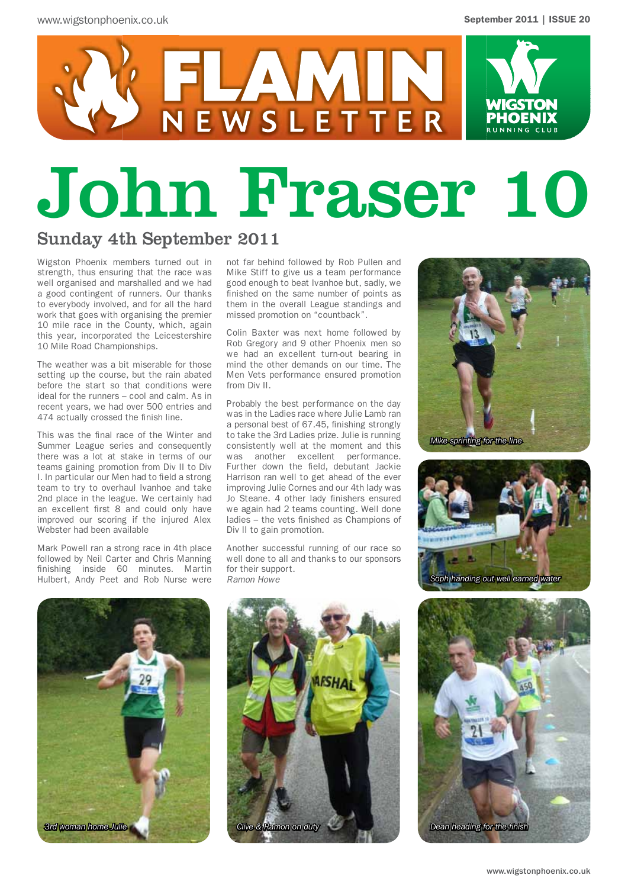

# John Fraser 10

NEWSLETTER

#### Sunday 4th September 2011

Wigston Phoenix members turned out in strength, thus ensuring that the race was well organised and marshalled and we had a good contingent of runners. Our thanks to everybody involved, and for all the hard work that goes with organising the premier 10 mile race in the County, which, again this year, incorporated the Leicestershire 10 Mile Road Championships.

The weather was a bit miserable for those setting up the course, but the rain abated before the start so that conditions were ideal for the runners – cool and calm. As in recent years, we had over 500 entries and 474 actually crossed the finish line.

This was the final race of the Winter and Summer League series and consequently there was a lot at stake in terms of our teams gaining promotion from Div II to Div I. In particular our Men had to field a strong team to try to overhaul Ivanhoe and take 2nd place in the league. We certainly had an excellent first 8 and could only have improved our scoring if the injured Alex Webster had been available

Mark Powell ran a strong race in 4th place followed by Neil Carter and Chris Manning finishing inside 60 minutes. Martin Hulbert, Andy Peet and Rob Nurse were

not far behind followed by Rob Pullen and Mike Stiff to give us a team performance good enough to beat Ivanhoe but, sadly, we finished on the same number of points as them in the overall League standings and missed promotion on "countback".

Colin Baxter was next home followed by Rob Gregory and 9 other Phoenix men so we had an excellent turn-out bearing in mind the other demands on our time. The Men Vets performance ensured promotion from Div II.

Probably the best performance on the day was in the Ladies race where Julie Lamb ran a personal best of 67.45, finishing strongly to take the 3rd Ladies prize. Julie is running consistently well at the moment and this was another excellent performance. Further down the field, debutant Jackie Harrison ran well to get ahead of the ever improving Julie Cornes and our 4th lady was Jo Steane. 4 other lady finishers ensured we again had 2 teams counting. Well done ladies – the vets finished as Champions of Div II to gain promotion.

Another successful running of our race so well done to all and thanks to our sponsors for their support. *Ramon Howe*









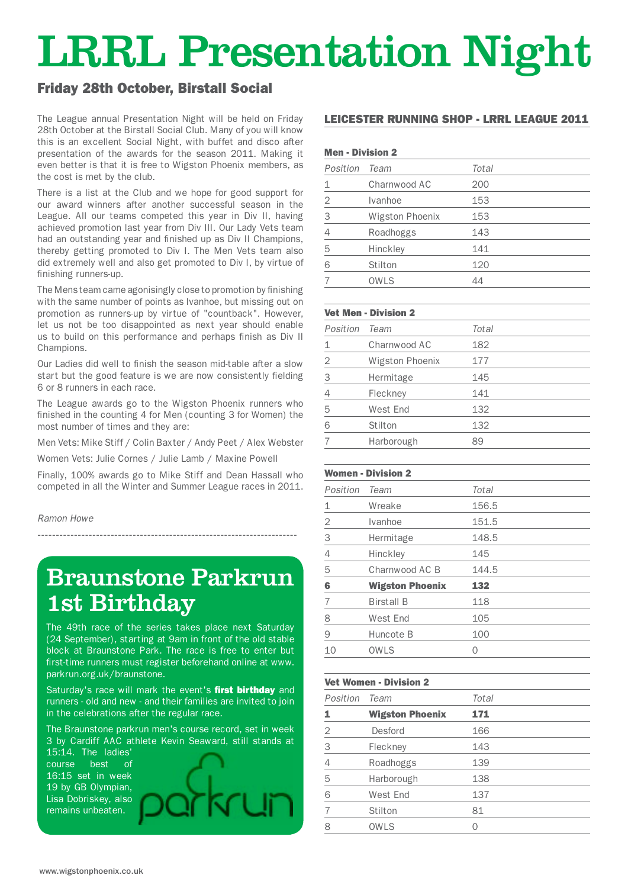## LRRL Presentation Night

#### Friday 28th October, Birstall Social

The League annual Presentation Night will be held on Friday 28th October at the Birstall Social Club. Many of you will know this is an excellent Social Night, with buffet and disco after presentation of the awards for the season 2011. Making it even better is that it is free to Wigston Phoenix members, as the cost is met by the club.

There is a list at the Club and we hope for good support for our award winners after another successful season in the League. All our teams competed this year in Div II, having achieved promotion last year from Div III. Our Lady Vets team had an outstanding year and finished up as Div II Champions, thereby getting promoted to Div I. The Men Vets team also did extremely well and also get promoted to Div I, by virtue of finishing runners-up.

The Mens team came agonisingly close to promotion by finishing with the same number of points as Ivanhoe, but missing out on promotion as runners-up by virtue of "countback". However, let us not be too disappointed as next year should enable us to build on this performance and perhaps finish as Div II Champions.

Our Ladies did well to finish the season mid-table after a slow start but the good feature is we are now consistently fielding 6 or 8 runners in each race.

The League awards go to the Wigston Phoenix runners who finished in the counting 4 for Men (counting 3 for Women) the most number of times and they are:

Men Vets: Mike Stiff / Colin Baxter / Andy Peet / Alex Webster

Women Vets: Julie Cornes / Julie Lamb / Maxine Powell

-----------------------------------------------------------------------

Finally, 100% awards go to Mike Stiff and Dean Hassall who competed in all the Winter and Summer League races in 2011.

*Ramon Howe*

## Braunstone Parkrun 1st Birthday

The 49th race of the series takes place next Saturday (24 September), starting at 9am in front of the old stable block at Braunstone Park. The race is free to enter but first-time runners must register beforehand online at www. parkrun.org.uk/braunstone.

Saturday's race will mark the event's first birthday and runners - old and new - and their families are invited to join in the celebrations after the regular race.

The Braunstone parkrun men's course record, set in week 3 by Cardiff AAC athlete Kevin Seaward, still stands at

15:14. The ladies' course best of 16:15 set in week 19 by GB Olympian, Lisa Dobriskey, also remains unbeaten.



#### LEICESTER RUNNING SHOP - LRRL LEAGUE 2011

#### Men - Division 2

| Position       | Team            | Total |
|----------------|-----------------|-------|
| 1              | Charnwood AC    | 200   |
| $\overline{2}$ | Ivanhoe         | 153   |
| 3              | Wigston Phoenix | 153   |
| 4              | Roadhoggs       | 143   |
| 5              | Hinckley        | 141   |
| 6              | Stilton         | 120   |
| 7              | <b>OWLS</b>     | 44    |
|                |                 |       |

#### Vet Men - Division 2

| Position    | Team            | Total |
|-------------|-----------------|-------|
| $\mathbf 1$ | Charnwood AC    | 182   |
| 2           | Wigston Phoenix | 177   |
| 3           | Hermitage       | 145   |
| 4           | Fleckney        | 141   |
| 5           | West End        | 132   |
| 6           | Stilton         | 132   |
|             | Harborough      | 89    |

#### Women - Division 2

| Position | Team                   | Total |
|----------|------------------------|-------|
| 1        | Wreake                 | 156.5 |
| 2        | Ivanhoe                | 151.5 |
| 3        | Hermitage              | 148.5 |
| 4        | Hinckley               | 145   |
| 5        | Charnwood AC B         | 144.5 |
| 6        | <b>Wigston Phoenix</b> | 132   |
| 7        | <b>Birstall B</b>      | 118   |
| 8        | West End               | 105   |
| 9        | Huncote B              | 100   |
| 10       | <b>OWLS</b>            | 0     |
|          |                        |       |

#### Vet Women - Division 2

| Position       | Team                   | Total |  |
|----------------|------------------------|-------|--|
| 1              | <b>Wigston Phoenix</b> | 171   |  |
| 2              | Desford                | 166   |  |
| 3              | Fleckney               | 143   |  |
| 4              | Roadhoggs              | 139   |  |
| 5              | Harborough             | 138   |  |
| 6              | West End               | 137   |  |
| $\overline{7}$ | Stilton                | 81    |  |
| 8              | OWLS                   | Ω     |  |
|                |                        |       |  |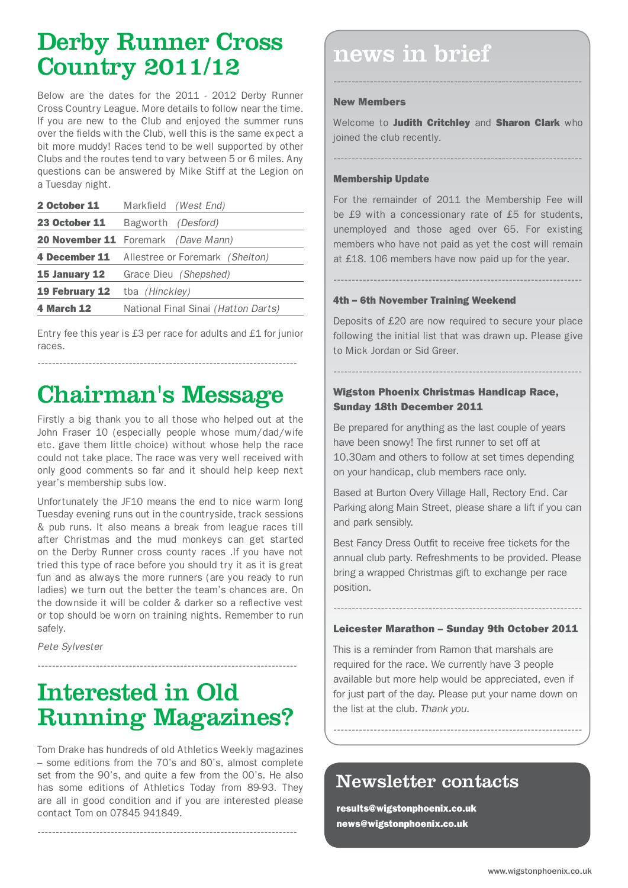## Derby Runner Cross Country 2011/12

Below are the dates for the 2011 - 2012 Derby Runner Cross Country League. More details to follow near the time. If you are new to the Club and enjoyed the summer runs over the fields with the Club, well this is the same expect a bit more muddy! Races tend to be well supported by other Clubs and the routes tend to vary between 5 or 6 miles. Any questions can be answered by Mike Stiff at the Legion on a Tuesday night.

| 2 October 11          | Markfield (West End)                       |
|-----------------------|--------------------------------------------|
| <b>23 October 11</b>  | Bagworth <i>(Desford)</i>                  |
|                       | <b>20 November 11</b> Foremark (Dave Mann) |
| <b>4 December 11</b>  | Allestree or Foremark (Shelton)            |
| 15 January 12         | Grace Dieu (Shepshed)                      |
| <b>19 February 12</b> | tba (Hinckley)                             |
| <b>4 March 12</b>     | National Final Sinai (Hatton Darts)        |

Entry fee this year is £3 per race for adults and £1 for junior races.

-----------------------------------------------------------------------

## Chairman's Message

Firstly a big thank you to all those who helped out at the John Fraser 10 (especially people whose mum/dad/wife etc. gave them little choice) without whose help the race could not take place. The race was very well received with only good comments so far and it should help keep next year's membership subs low.

Unfortunately the JF10 means the end to nice warm long Tuesday evening runs out in the countryside, track sessions & pub runs. It also means a break from league races till after Christmas and the mud monkeys can get started on the Derby Runner cross county races .If you have not tried this type of race before you should try it as it is great fun and as always the more runners (are you ready to run ladies) we turn out the better the team's chances are. On the downside it will be colder & darker so a reflective vest or top should be worn on training nights. Remember to run safely.

*Pete Sylvester*

## Interested in Old Running Magazines?

-----------------------------------------------------------------------

Tom Drake has hundreds of old Athletics Weekly magazines – some editions from the 70's and 80's, almost complete set from the 90's, and quite a few from the 00's. He also has some editions of Athletics Today from 89-93. They are all in good condition and if you are interested please contact Tom on 07845 941849.

-----------------------------------------------------------------------

## news in brief

#### New Members

Welcome to Judith Critchley and Sharon Clark who joined the club recently.

--------------------------------------------------------------------

--------------------------------------------------------------------

#### Membership Update

For the remainder of 2011 the Membership Fee will be £9 with a concessionary rate of £5 for students, unemployed and those aged over 65. For existing members who have not paid as yet the cost will remain at £18. 106 members have now paid up for the year.

--------------------------------------------------------------------

#### 4th – 6th November Training Weekend

Deposits of £20 are now required to secure your place following the initial list that was drawn up. Please give to Mick Jordan or Sid Greer.

--------------------------------------------------------------------

#### Wigston Phoenix Christmas Handicap Race, Sunday 18th December 2011

Be prepared for anything as the last couple of years have been snowy! The first runner to set off at 10.30am and others to follow at set times depending on your handicap, club members race only.

Based at Burton Overy Village Hall, Rectory End. Car Parking along Main Street, please share a lift if you can and park sensibly.

Best Fancy Dress Outfit to receive free tickets for the annual club party. Refreshments to be provided. Please bring a wrapped Christmas gift to exchange per race position.

-------------------------------------------------------------------- Leicester Marathon – Sunday 9th October 2011

This is a reminder from Ramon that marshals are required for the race. We currently have 3 people available but more help would be appreciated, even if for just part of the day. Please put your name down on the list at the club. *Thank you.*

--------------------------------------------------------------------

## Newsletter contacts

results@wigstonphoenix.co.uk news@wigstonphoenix.co.uk